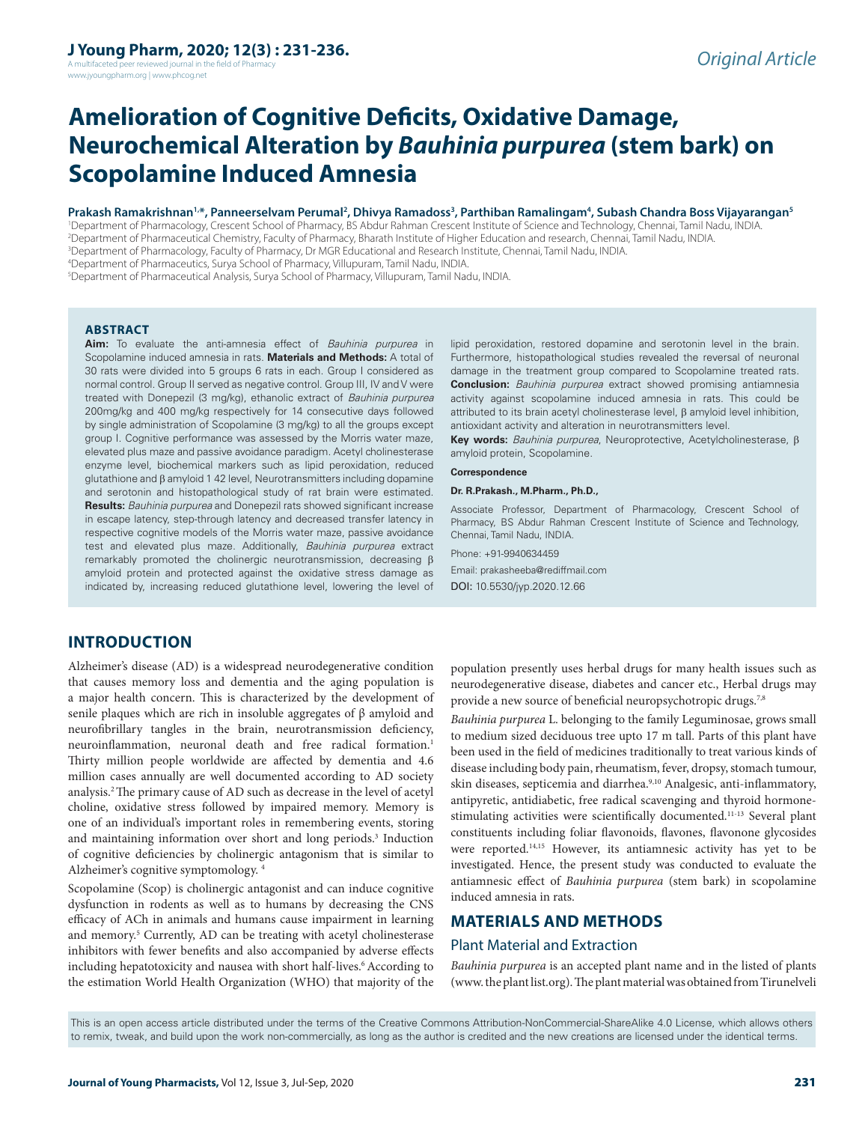A multifaceted peer reviewed journal in the field of Pharm www.jyoungpharm.org | www.phcog.net

# **Amelioration of Cognitive Deficits, Oxidative Damage, Neurochemical Alteration by** *Bauhinia purpurea* **(stem bark) on Scopolamine Induced Amnesia**

#### Prakash Ramakrishnan<sup>1,</sup>\*, Panneerselvam Perumal<sup>2</sup>, Dhivya Ramadoss<sup>3</sup>, Parthiban Ramalingam<sup>4</sup>, Subash Chandra Boss Vijayarangan<sup>s</sup>

 Department of Pharmacology, Crescent School of Pharmacy, BS Abdur Rahman Crescent Institute of Science and Technology, Chennai, Tamil Nadu, INDIA. Department of Pharmaceutical Chemistry, Faculty of Pharmacy, Bharath Institute of Higher Education and research, Chennai, Tamil Nadu, INDIA. Department of Pharmacology, Faculty of Pharmacy, Dr MGR Educational and Research Institute, Chennai, Tamil Nadu, INDIA. Department of Pharmaceutics, Surya School of Pharmacy, Villupuram, Tamil Nadu, INDIA.

5 Department of Pharmaceutical Analysis, Surya School of Pharmacy, Villupuram, Tamil Nadu, INDIA.

**ABSTRACT**

Aim: To evaluate the anti-amnesia effect of Bauhinia purpurea in Scopolamine induced amnesia in rats. **Materials and Methods:** A total of 30 rats were divided into 5 groups 6 rats in each. Group I considered as normal control. Group II served as negative control. Group III, IV and V were treated with Donepezil (3 mg/kg), ethanolic extract of Bauhinia purpurea 200mg/kg and 400 mg/kg respectively for 14 consecutive days followed by single administration of Scopolamine (3 mg/kg) to all the groups except group I. Cognitive performance was assessed by the Morris water maze, elevated plus maze and passive avoidance paradigm. Acetyl cholinesterase enzyme level, biochemical markers such as lipid peroxidation, reduced glutathione and β amyloid 1 42 level, Neurotransmitters including dopamine and serotonin and histopathological study of rat brain were estimated. **Results:** *Bauhinia purpurea* and Donepezil rats showed significant increase in escape latency, step-through latency and decreased transfer latency in respective cognitive models of the Morris water maze, passive avoidance test and elevated plus maze. Additionally, Bauhinia purpurea extract remarkably promoted the cholinergic neurotransmission, decreasing β amyloid protein and protected against the oxidative stress damage as indicated by, increasing reduced glutathione level, lowering the level of lipid peroxidation, restored dopamine and serotonin level in the brain. Furthermore, histopathological studies revealed the reversal of neuronal damage in the treatment group compared to Scopolamine treated rats. **Conclusion:** Bauhinia purpurea extract showed promising antiamnesia activity against scopolamine induced amnesia in rats. This could be attributed to its brain acetyl cholinesterase level, β amyloid level inhibition, antioxidant activity and alteration in neurotransmitters level.

**Key words:** Bauhinia purpurea, Neuroprotective, Acetylcholinesterase, β amyloid protein, Scopolamine.

**Correspondence**

#### **Dr. R.Prakash., M.Pharm., Ph.D.,**

Associate Professor, Department of Pharmacology, Crescent School of Pharmacy, BS Abdur Rahman Crescent Institute of Science and Technology, Chennai, Tamil Nadu, INDIA.

Phone: +91-9940634459 Email: prakasheeba@rediffmail.com DOI: 10.5530/jyp.2020.12.66

# **INTRODUCTION**

Alzheimer's disease (AD) is a widespread neurodegenerative condition that causes memory loss and dementia and the aging population is a major health concern. This is characterized by the development of senile plaques which are rich in insoluble aggregates of  $\beta$  amyloid and neurofibrillary tangles in the brain, neurotransmission deficiency, neuroinflammation, neuronal death and free radical formation.<sup>1</sup> Thirty million people worldwide are affected by dementia and 4.6 million cases annually are well documented according to AD society analysis.2 The primary cause of AD such as decrease in the level of acetyl choline, oxidative stress followed by impaired memory. Memory is one of an individual's important roles in remembering events, storing and maintaining information over short and long periods.<sup>3</sup> Induction of cognitive deficiencies by cholinergic antagonism that is similar to Alzheimer's cognitive symptomology. 4

Scopolamine (Scop) is cholinergic antagonist and can induce cognitive dysfunction in rodents as well as to humans by decreasing the CNS efficacy of ACh in animals and humans cause impairment in learning and memory.<sup>5</sup> Currently, AD can be treating with acetyl cholinesterase inhibitors with fewer benefits and also accompanied by adverse effects including hepatotoxicity and nausea with short half-lives.<sup>6</sup> According to the estimation World Health Organization (WHO) that majority of the

population presently uses herbal drugs for many health issues such as neurodegenerative disease, diabetes and cancer etc., Herbal drugs may provide a new source of beneficial neuropsychotropic drugs.<sup>7,8</sup>

*Bauhinia purpurea* L. belonging to the family Leguminosae, grows small to medium sized deciduous tree upto 17 m tall. Parts of this plant have been used in the field of medicines traditionally to treat various kinds of disease including body pain, rheumatism, fever, dropsy, stomach tumour, skin diseases, septicemia and diarrhea.<sup>9,10</sup> Analgesic, anti-inflammatory, antipyretic, antidiabetic, free radical scavenging and thyroid hormonestimulating activities were scientifically documented.11-13 Several plant constituents including foliar flavonoids, flavones, flavonone glycosides were reported.<sup>14,15</sup> However, its antiamnesic activity has yet to be investigated. Hence, the present study was conducted to evaluate the antiamnesic effect of *Bauhinia purpurea* (stem bark) in scopolamine induced amnesia in rats.

# **MATERIALS AND METHODS**

#### Plant Material and Extraction

*Bauhinia purpurea* is an accepted plant name and in the listed of plants (www. the plant list.org). The plant material was obtained from Tirunelveli

This is an open access article distributed under the terms of the Creative Commons Attribution-NonCommercial-ShareAlike 4.0 License, which allows others to remix, tweak, and build upon the work non-commercially, as long as the author is credited and the new creations are licensed under the identical terms.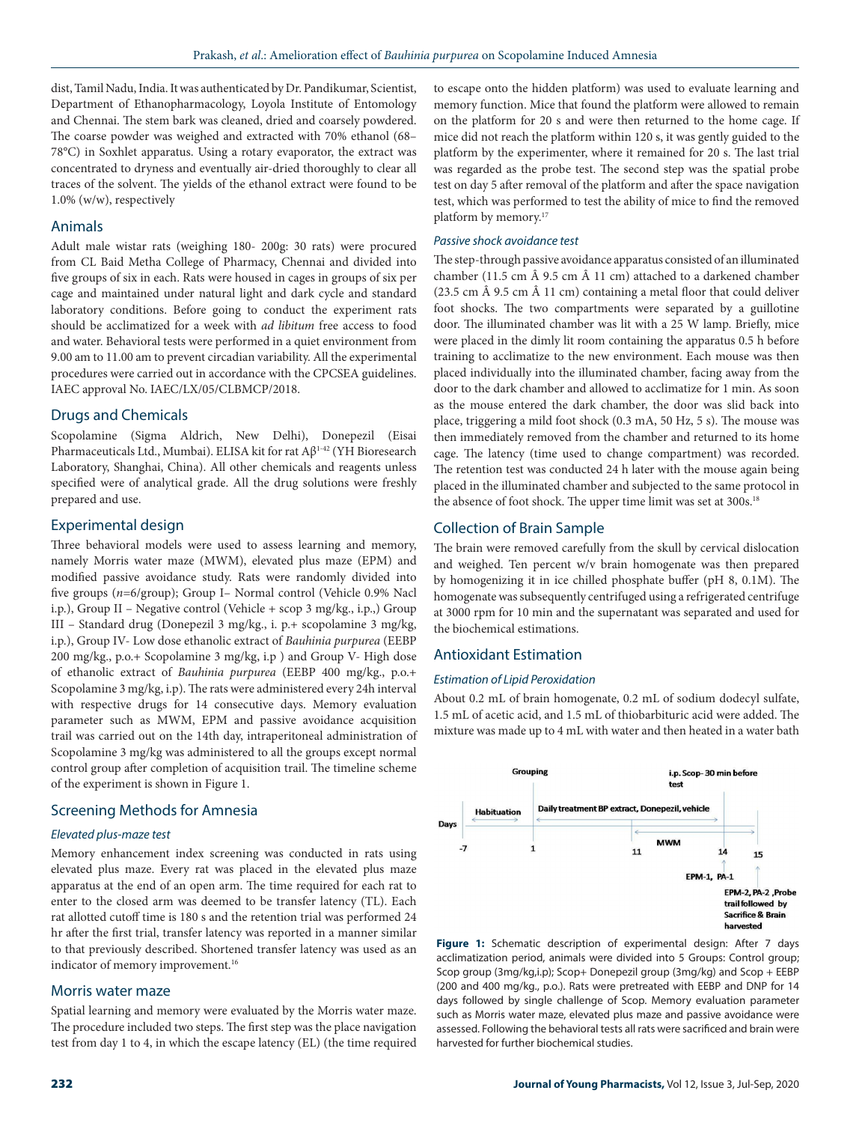dist, Tamil Nadu, India. It was authenticated by Dr. Pandikumar, Scientist, Department of Ethanopharmacology, Loyola Institute of Entomology and Chennai. The stem bark was cleaned, dried and coarsely powdered. The coarse powder was weighed and extracted with 70% ethanol (68– 78°C) in Soxhlet apparatus. Using a rotary evaporator, the extract was concentrated to dryness and eventually air-dried thoroughly to clear all traces of the solvent. The yields of the ethanol extract were found to be 1.0% (w/w), respectively

### Animals

Adult male wistar rats (weighing 180- 200g: 30 rats) were procured from CL Baid Metha College of Pharmacy, Chennai and divided into five groups of six in each. Rats were housed in cages in groups of six per cage and maintained under natural light and dark cycle and standard laboratory conditions. Before going to conduct the experiment rats should be acclimatized for a week with *ad libitum* free access to food and water. Behavioral tests were performed in a quiet environment from 9.00 am to 11.00 am to prevent circadian variability. All the experimental procedures were carried out in accordance with the CPCSEA guidelines. IAEC approval No. IAEC/LX/05/CLBMCP/2018.

# Drugs and Chemicals

Scopolamine (Sigma Aldrich, New Delhi), Donepezil (Eisai Pharmaceuticals Ltd., Mumbai). ELISA kit for rat Aβ1-42 (YH Bioresearch Laboratory, Shanghai, China). All other chemicals and reagents unless specified were of analytical grade. All the drug solutions were freshly prepared and use.

### Experimental design

Three behavioral models were used to assess learning and memory, namely Morris water maze (MWM), elevated plus maze (EPM) and modified passive avoidance study. Rats were randomly divided into five groups (*n*=6/group); Group I– Normal control (Vehicle 0.9% Nacl i.p.), Group II – Negative control (Vehicle + scop 3 mg/kg., i.p.,) Group III – Standard drug (Donepezil 3 mg/kg., i. p.+ scopolamine 3 mg/kg, i.p.), Group IV- Low dose ethanolic extract of *Bauhinia purpurea* (EEBP 200 mg/kg., p.o.+ Scopolamine 3 mg/kg, i.p ) and Group V- High dose of ethanolic extract of *Bauhinia purpurea* (EEBP 400 mg/kg., p.o.+ Scopolamine 3 mg/kg, i.p). The rats were administered every 24h interval with respective drugs for 14 consecutive days. Memory evaluation parameter such as MWM, EPM and passive avoidance acquisition trail was carried out on the 14th day, intraperitoneal administration of Scopolamine 3 mg/kg was administered to all the groups except normal control group after completion of acquisition trail. The timeline scheme of the experiment is shown in Figure 1.

### Screening Methods for Amnesia

### *Elevated plus-maze test*

Memory enhancement index screening was conducted in rats using elevated plus maze. Every rat was placed in the elevated plus maze apparatus at the end of an open arm. The time required for each rat to enter to the closed arm was deemed to be transfer latency (TL). Each rat allotted cutoff time is 180 s and the retention trial was performed 24 hr after the first trial, transfer latency was reported in a manner similar to that previously described. Shortened transfer latency was used as an indicator of memory improvement.<sup>16</sup>

### Morris water maze

Spatial learning and memory were evaluated by the Morris water maze. The procedure included two steps. The first step was the place navigation test from day 1 to 4, in which the escape latency (EL) (the time required to escape onto the hidden platform) was used to evaluate learning and memory function. Mice that found the platform were allowed to remain on the platform for 20 s and were then returned to the home cage. If mice did not reach the platform within 120 s, it was gently guided to the platform by the experimenter, where it remained for 20 s. The last trial was regarded as the probe test. The second step was the spatial probe test on day 5 after removal of the platform and after the space navigation test, which was performed to test the ability of mice to find the removed platform by memory.17

#### *Passive shock avoidance test*

The step-through passive avoidance apparatus consisted of an illuminated chamber (11.5 cm  $\hat{A}$  9.5 cm  $\hat{A}$  11 cm) attached to a darkened chamber (23.5 cm  $\hat{A}$  9.5 cm  $\hat{A}$  11 cm) containing a metal floor that could deliver foot shocks. The two compartments were separated by a guillotine door. The illuminated chamber was lit with a 25 W lamp. Briefly, mice were placed in the dimly lit room containing the apparatus 0.5 h before training to acclimatize to the new environment. Each mouse was then placed individually into the illuminated chamber, facing away from the door to the dark chamber and allowed to acclimatize for 1 min. As soon as the mouse entered the dark chamber, the door was slid back into place, triggering a mild foot shock (0.3 mA, 50 Hz, 5 s). The mouse was then immediately removed from the chamber and returned to its home cage. The latency (time used to change compartment) was recorded. The retention test was conducted 24 h later with the mouse again being placed in the illuminated chamber and subjected to the same protocol in the absence of foot shock. The upper time limit was set at 300s.<sup>18</sup>

### Collection of Brain Sample

The brain were removed carefully from the skull by cervical dislocation and weighed. Ten percent w/v brain homogenate was then prepared by homogenizing it in ice chilled phosphate buffer (pH 8, 0.1M). The homogenate was subsequently centrifuged using a refrigerated centrifuge at 3000 rpm for 10 min and the supernatant was separated and used for the biochemical estimations.

### Antioxidant Estimation

### *Estimation of Lipid Peroxidation*

About 0.2 mL of brain homogenate, 0.2 mL of sodium dodecyl sulfate, 1.5 mL of acetic acid, and 1.5 mL of thiobarbituric acid were added. The mixture was made up to 4 mL with water and then heated in a water bath



Figure 1: Schematic description of experimental design: After 7 days acclimatization period, animals were divided into 5 Groups: Control group; Scop group (3mg/kg,i.p); Scop+ Donepezil group (3mg/kg) and Scop + EEBP (200 and 400 mg/kg., p.o.). Rats were pretreated with EEBP and DNP for 14 days followed by single challenge of Scop. Memory evaluation parameter such as Morris water maze, elevated plus maze and passive avoidance were assessed. Following the behavioral tests all rats were sacrificed and brain were harvested for further biochemical studies.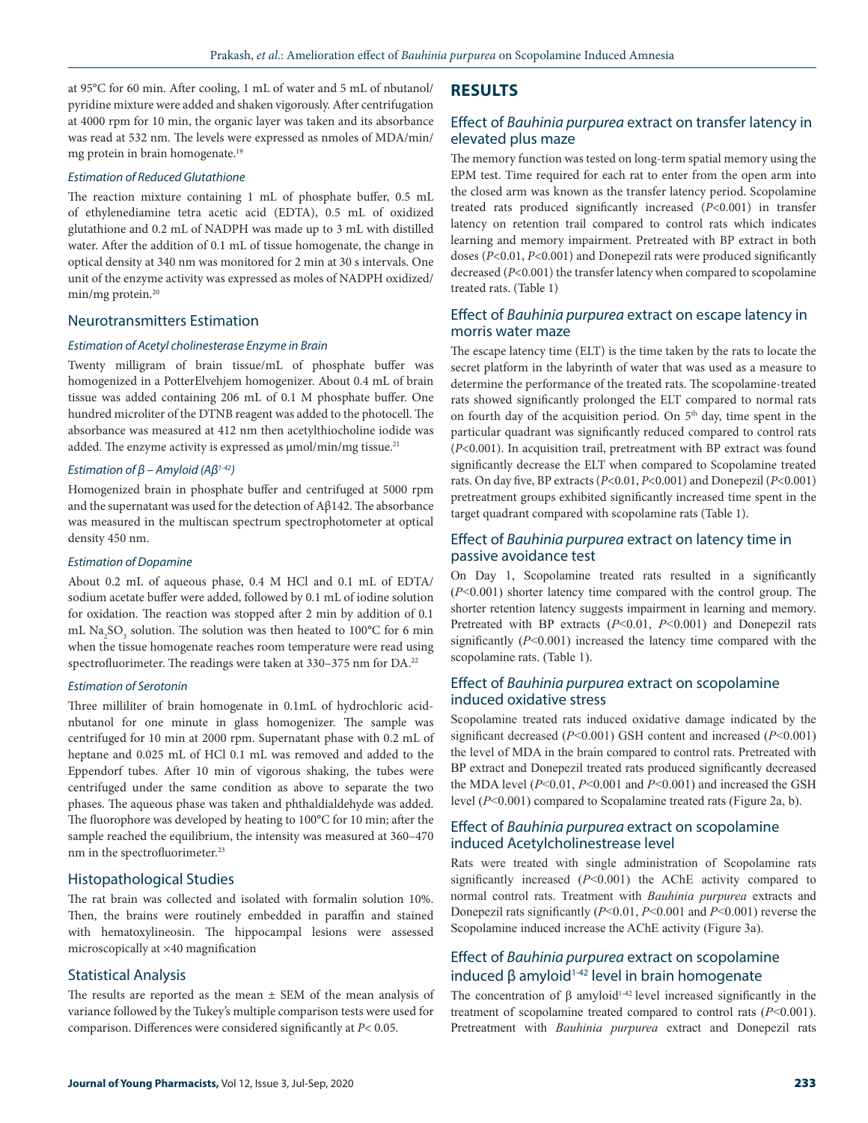at 95°C for 60 min. After cooling, 1 mL of water and 5 mL of nbutanol/ pyridine mixture were added and shaken vigorously. After centrifugation at 4000 rpm for 10 min, the organic layer was taken and its absorbance was read at 532 nm. The levels were expressed as nmoles of MDA/min/ mg protein in brain homogenate.19

### *Estimation of Reduced Glutathione*

The reaction mixture containing 1 mL of phosphate buffer, 0.5 mL of ethylenediamine tetra acetic acid (EDTA), 0.5 mL of oxidized glutathione and 0.2 mL of NADPH was made up to 3 mL with distilled water. After the addition of 0.1 mL of tissue homogenate, the change in optical density at 340 nm was monitored for 2 min at 30 s intervals. One unit of the enzyme activity was expressed as moles of NADPH oxidized/ min/mg protein.20

### Neurotransmitters Estimation

#### *Estimation of Acetyl cholinesterase Enzyme in Brain*

Twenty milligram of brain tissue/mL of phosphate buffer was homogenized in a PotterElvehjem homogenizer. About 0.4 mL of brain tissue was added containing 206 mL of 0.1 M phosphate buffer. One hundred microliter of the DTNB reagent was added to the photocell. The absorbance was measured at 412 nm then acetylthiocholine iodide was added. The enzyme activity is expressed as  $\mu$ mol/min/mg tissue.<sup>21</sup>

### *Estimation of β – Amyloid (Aβ1-42)*

Homogenized brain in phosphate buffer and centrifuged at 5000 rpm and the supernatant was used for the detection of Aβ142. The absorbance was measured in the multiscan spectrum spectrophotometer at optical density 450 nm.

### *Estimation of Dopamine*

About 0.2 mL of aqueous phase, 0.4 M HCl and 0.1 mL of EDTA/ sodium acetate buffer were added, followed by 0.1 mL of iodine solution for oxidation. The reaction was stopped after 2 min by addition of 0.1 mL Na<sub>2</sub>SO<sub>3</sub> solution. The solution was then heated to 100°C for 6 min when the tissue homogenate reaches room temperature were read using spectrofluorimeter. The readings were taken at 330-375 nm for DA.<sup>22</sup>

#### *Estimation of Serotonin*

Three milliliter of brain homogenate in 0.1mL of hydrochloric acidnbutanol for one minute in glass homogenizer. The sample was centrifuged for 10 min at 2000 rpm. Supernatant phase with 0.2 mL of heptane and 0.025 mL of HCl 0.1 mL was removed and added to the Eppendorf tubes. After 10 min of vigorous shaking, the tubes were centrifuged under the same condition as above to separate the two phases. The aqueous phase was taken and phthaldialdehyde was added. The fluorophore was developed by heating to 100°C for 10 min; after the sample reached the equilibrium, the intensity was measured at 360–470 nm in the spectrofluorimeter.<sup>23</sup>

### Histopathological Studies

The rat brain was collected and isolated with formalin solution 10%. Then, the brains were routinely embedded in paraffin and stained with hematoxylineosin. The hippocampal lesions were assessed microscopically at ×40 magnification

### Statistical Analysis

The results are reported as the mean  $\pm$  SEM of the mean analysis of variance followed by the Tukey's multiple comparison tests were used for comparison. Differences were considered significantly at *P*< 0.05.

### **RESULTS**

### Effect of *Bauhinia purpurea* extract on transfer latency in elevated plus maze

The memory function was tested on long-term spatial memory using the EPM test. Time required for each rat to enter from the open arm into the closed arm was known as the transfer latency period. Scopolamine treated rats produced significantly increased (*P*<0.001) in transfer latency on retention trail compared to control rats which indicates learning and memory impairment. Pretreated with BP extract in both doses (*P*<0.01, *P*<0.001) and Donepezil rats were produced significantly decreased (*P*<0.001) the transfer latency when compared to scopolamine treated rats. (Table 1)

# Effect of *Bauhinia purpurea* extract on escape latency in morris water maze

The escape latency time (ELT) is the time taken by the rats to locate the secret platform in the labyrinth of water that was used as a measure to determine the performance of the treated rats. The scopolamine-treated rats showed significantly prolonged the ELT compared to normal rats on fourth day of the acquisition period. On 5<sup>th</sup> day, time spent in the particular quadrant was significantly reduced compared to control rats (*P*<0.001). In acquisition trail, pretreatment with BP extract was found significantly decrease the ELT when compared to Scopolamine treated rats. On day five, BP extracts (*P*<0.01, *P*<0.001) and Donepezil (*P*<0.001) pretreatment groups exhibited significantly increased time spent in the target quadrant compared with scopolamine rats (Table 1).

# Effect of *Bauhinia purpurea* extract on latency time in passive avoidance test

On Day 1, Scopolamine treated rats resulted in a significantly (*P*<0.001) shorter latency time compared with the control group. The shorter retention latency suggests impairment in learning and memory. Pretreated with BP extracts (*P*<0.01, *P*<0.001) and Donepezil rats significantly (*P*<0.001) increased the latency time compared with the scopolamine rats. (Table 1).

### Effect of *Bauhinia purpurea* extract on scopolamine induced oxidative stress

Scopolamine treated rats induced oxidative damage indicated by the significant decreased (*P*<0.001) GSH content and increased (*P*<0.001) the level of MDA in the brain compared to control rats. Pretreated with BP extract and Donepezil treated rats produced significantly decreased the MDA level (*P*<0.01, *P*<0.001 and *P*<0.001) and increased the GSH level (*P*<0.001) compared to Scopalamine treated rats (Figure 2a, b).

### Effect of *Bauhinia purpurea* extract on scopolamine induced Acetylcholinestrease level

Rats were treated with single administration of Scopolamine rats significantly increased (*P*<0.001) the AChE activity compared to normal control rats. Treatment with *Bauhinia purpurea* extracts and Donepezil rats significantly (*P*<0.01, *P*<0.001 and *P*<0.001) reverse the Scopolamine induced increase the AChE activity (Figure 3a).

# Effect of *Bauhinia purpurea* extract on scopolamine induced β amyloid<sup>1-42</sup> level in brain homogenate

The concentration of  $\beta$  amyloid<sup>1-42</sup> level increased significantly in the treatment of scopolamine treated compared to control rats (*P*<0.001). Pretreatment with *Bauhinia purpurea* extract and Donepezil rats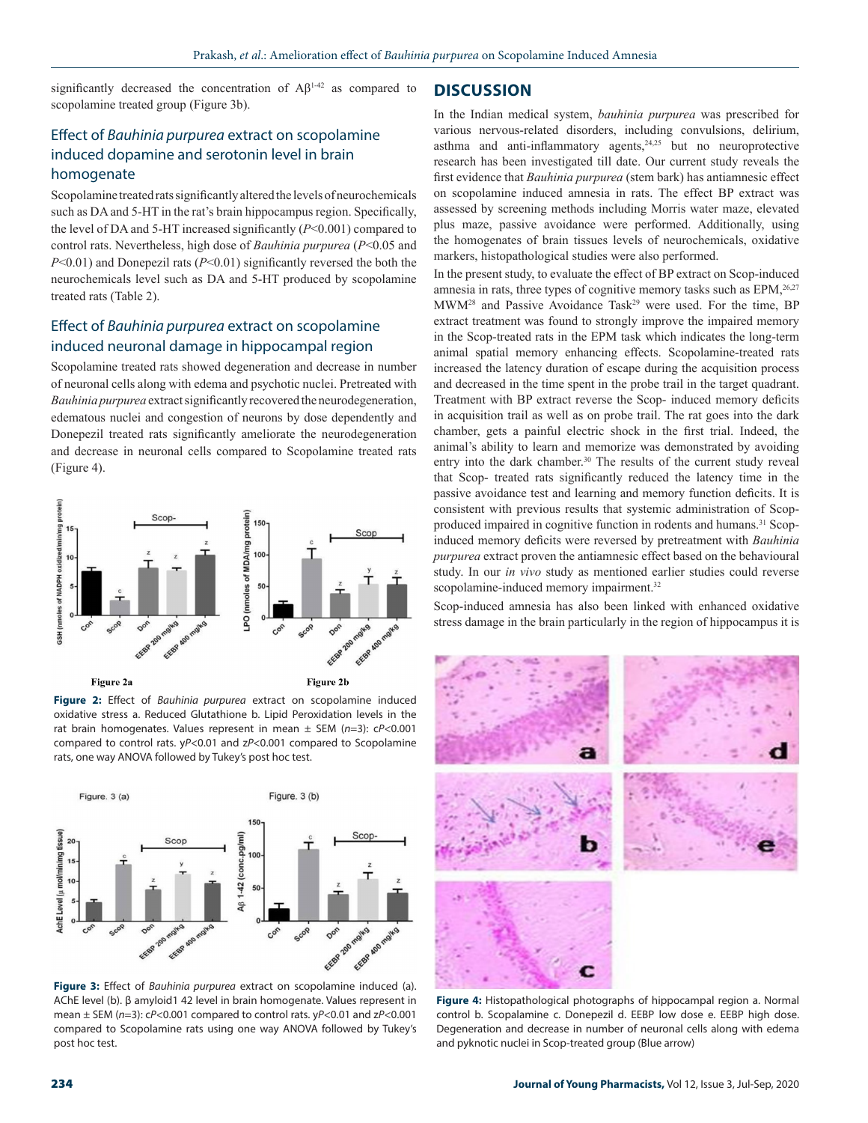significantly decreased the concentration of  $A\beta$ <sup>1-42</sup> as compared to scopolamine treated group (Figure 3b).

# Effect of *Bauhinia purpurea* extract on scopolamine induced dopamine and serotonin level in brain homogenate

Scopolamine treated rats significantly altered the levels of neurochemicals such as DA and 5-HT in the rat's brain hippocampus region. Specifically, the level of DA and 5-HT increased significantly (*P*<0.001) compared to control rats. Nevertheless, high dose of *Bauhinia purpurea* (*P*<0.05 and *P*<0.01) and Donepezil rats (*P*<0.01) significantly reversed the both the neurochemicals level such as DA and 5-HT produced by scopolamine treated rats (Table 2).

# Effect of *Bauhinia purpurea* extract on scopolamine induced neuronal damage in hippocampal region

Scopolamine treated rats showed degeneration and decrease in number of neuronal cells along with edema and psychotic nuclei. Pretreated with *Bauhinia purpurea* extract significantly recovered the neurodegeneration, edematous nuclei and congestion of neurons by dose dependently and Donepezil treated rats significantly ameliorate the neurodegeneration and decrease in neuronal cells compared to Scopolamine treated rats (Figure 4).



**Figure 2:** Effect of *Bauhinia purpurea* extract on scopolamine induced oxidative stress a. Reduced Glutathione b. Lipid Peroxidation levels in the rat brain homogenates. Values represent in mean ± SEM (*n*=3): c*P*<0.001 compared to control rats. y*P*<0.01 and z*P*<0.001 compared to Scopolamine rats, one way ANOVA followed by Tukey's post hoc test.



**Figure 3:** Effect of *Bauhinia purpurea* extract on scopolamine induced (a). AChE level (b). β amyloid1 42 level in brain homogenate. Values represent in mean ± SEM (*n*=3): c*P*<0.001 compared to control rats. y*P*<0.01 and z*P*<0.001 compared to Scopolamine rats using one way ANOVA followed by Tukey's post hoc test.

# **DISCUSSION**

In the Indian medical system, *bauhinia purpurea* was prescribed for various nervous-related disorders, including convulsions, delirium, asthma and anti-inflammatory agents, $24,25$  but no neuroprotective research has been investigated till date. Our current study reveals the first evidence that *Bauhinia purpurea* (stem bark) has antiamnesic effect on scopolamine induced amnesia in rats. The effect BP extract was assessed by screening methods including Morris water maze, elevated plus maze, passive avoidance were performed. Additionally, using the homogenates of brain tissues levels of neurochemicals, oxidative markers, histopathological studies were also performed.

In the present study, to evaluate the effect of BP extract on Scop-induced amnesia in rats, three types of cognitive memory tasks such as EPM,<sup>26,27</sup> MWM<sup>28</sup> and Passive Avoidance Task<sup>29</sup> were used. For the time, BP extract treatment was found to strongly improve the impaired memory in the Scop-treated rats in the EPM task which indicates the long-term animal spatial memory enhancing effects. Scopolamine-treated rats increased the latency duration of escape during the acquisition process and decreased in the time spent in the probe trail in the target quadrant. Treatment with BP extract reverse the Scop- induced memory deficits in acquisition trail as well as on probe trail. The rat goes into the dark chamber, gets a painful electric shock in the first trial. Indeed, the animal's ability to learn and memorize was demonstrated by avoiding entry into the dark chamber.<sup>30</sup> The results of the current study reveal that Scop- treated rats significantly reduced the latency time in the passive avoidance test and learning and memory function deficits. It is consistent with previous results that systemic administration of Scopproduced impaired in cognitive function in rodents and humans.<sup>31</sup> Scopinduced memory deficits were reversed by pretreatment with *Bauhinia purpurea* extract proven the antiamnesic effect based on the behavioural study. In our *in vivo* study as mentioned earlier studies could reverse scopolamine-induced memory impairment.<sup>32</sup>

Scop-induced amnesia has also been linked with enhanced oxidative stress damage in the brain particularly in the region of hippocampus it is



**Figure 4:** Histopathological photographs of hippocampal region a. Normal control b. Scopalamine c. Donepezil d. EEBP low dose e. EEBP high dose. Degeneration and decrease in number of neuronal cells along with edema and pyknotic nuclei in Scop-treated group (Blue arrow)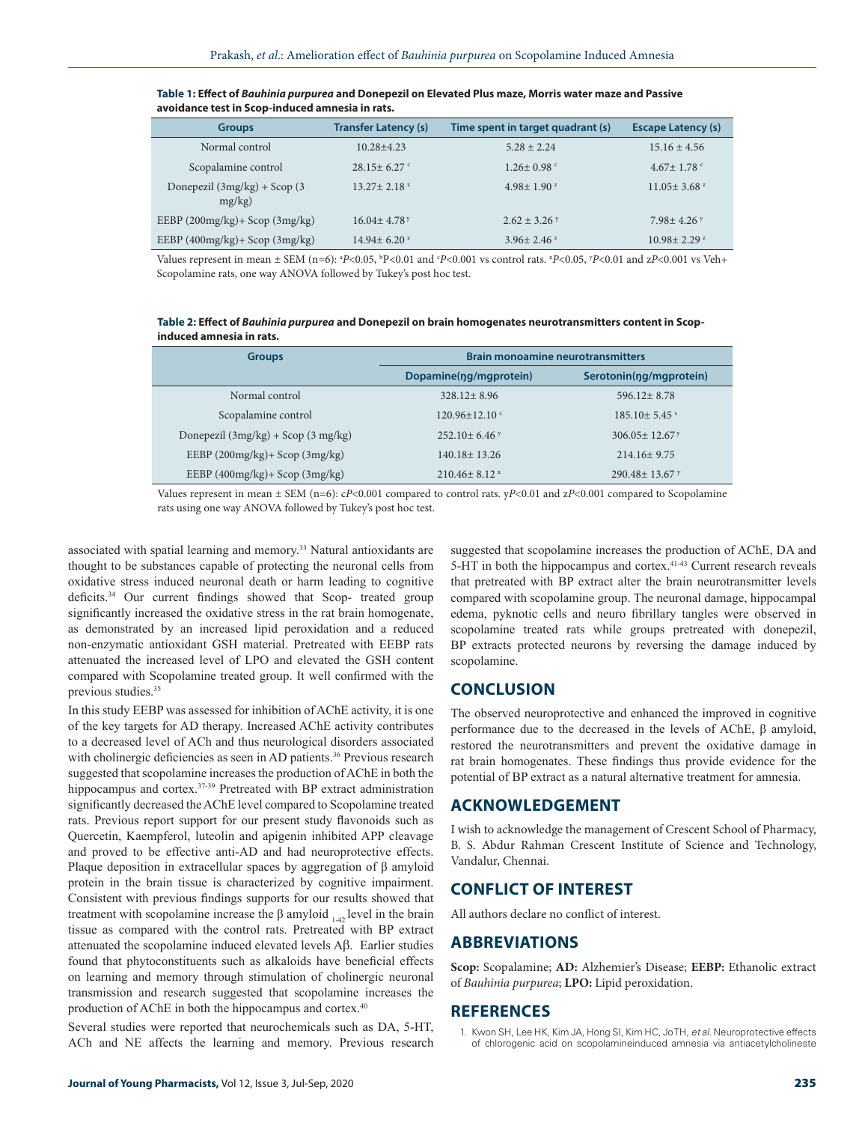| <b>Groups</b>                                 | <b>Transfer Latency (s)</b>   | Time spent in target quadrant (s) | <b>Escape Latency (s)</b>     |
|-----------------------------------------------|-------------------------------|-----------------------------------|-------------------------------|
| Normal control                                | $10.28 + 4.23$                | $5.28 + 2.24$                     | $15.16 \pm 4.56$              |
| Scopalamine control                           | $28.15 + 6.27$                | $1.26 \pm 0.98$                   | $4.67 \pm 1.78$ c             |
| Donepezil $(3mg/kg) +$ Scop $(3$<br>$mg/kg$ ) | $13.27 \pm 2.18$ <sup>2</sup> | $4.98 \pm 1.90$ <sup>z</sup>      | $11.05 \pm 3.68$ <sup>2</sup> |
| EEBP $(200mg/kg)$ + Scop $(3mg/kg)$           | $16.04 + 4.78$ <sup>y</sup>   | $2.62 + 3.26$ Y                   | $7.98 + 4.26$                 |
| EEBP $(400mg/kg)$ + Scop $(3mg/kg)$           | $14.94 \pm 6.20$ <sup>2</sup> | $3.96 \pm 2.46$ <sup>z</sup>      | $10.98 + 2.29$ <sup>z</sup>   |

#### **Table 1: Effect of** *Bauhinia purpurea* **and Donepezil on Elevated Plus maze, Morris water maze and Passive avoidance test in Scop-induced amnesia in rats.**

Values represent in mean  $\pm$  SEM (n=6): <sup>a</sup>P<0.05, <sup>b</sup>P<0.01 and <sup>c</sup>P<0.001 vs control rats. <sup>x</sup>P<0.05, <sup>y</sup>P<0.01 and zP<0.001 vs Veh+ Scopolamine rats, one way ANOVA followed by Tukey's post hoc test.

**Table 2: Effect of** *Bauhinia purpurea* **and Donepezil on brain homogenates neurotransmitters content in Scopinduced amnesia in rats.**

| <b>Groups</b>                          | <b>Brain monoamine neurotransmitters</b> |                         |  |
|----------------------------------------|------------------------------------------|-------------------------|--|
|                                        | Dopamine(ng/mgprotein)                   | Serotonin(ng/mgprotein) |  |
| Normal control                         | $328.12 + 8.96$                          | $596.12 + 8.78$         |  |
| Scopalamine control                    | $120.96 \pm 12.10$ c                     | $185.10 \pm 5.45$ c     |  |
| Donepezil $(3mg/kg) +$ Scop $(3mg/kg)$ | $252.10+6.46$ Y                          | $306.05 + 12.67$        |  |
| EEBP $(200mg/kg)$ + Scop $(3mg/kg)$    | $140.18 \pm 13.26$                       | $214.16 \pm 9.75$       |  |
| EEBP $(400mg/kg)$ + Scop $(3mg/kg)$    | $210.46 \pm 8.12$ x                      | $290.48 + 13.67$ y      |  |

Values represent in mean ± SEM (n=6): c*P*<0.001 compared to control rats. y*P*<0.01 and z*P*<0.001 compared to Scopolamine rats using one way ANOVA followed by Tukey's post hoc test.

associated with spatial learning and memory.33 Natural antioxidants are thought to be substances capable of protecting the neuronal cells from oxidative stress induced neuronal death or harm leading to cognitive deficits.<sup>34</sup> Our current findings showed that Scop- treated group significantly increased the oxidative stress in the rat brain homogenate, as demonstrated by an increased lipid peroxidation and a reduced non-enzymatic antioxidant GSH material. Pretreated with EEBP rats attenuated the increased level of LPO and elevated the GSH content compared with Scopolamine treated group. It well confirmed with the previous studies.<sup>35</sup>

In this study EEBP was assessed for inhibition of AChE activity, it is one of the key targets for AD therapy. Increased AChE activity contributes to a decreased level of ACh and thus neurological disorders associated with cholinergic deficiencies as seen in AD patients.<sup>36</sup> Previous research suggested that scopolamine increases the production of AChE in both the hippocampus and cortex.<sup>37-39</sup> Pretreated with BP extract administration significantly decreased the AChE level compared to Scopolamine treated rats. Previous report support for our present study flavonoids such as Quercetin, Kaempferol, luteolin and apigenin inhibited APP cleavage and proved to be effective anti-AD and had neuroprotective effects. Plaque deposition in extracellular spaces by aggregation of β amyloid protein in the brain tissue is characterized by cognitive impairment. Consistent with previous findings supports for our results showed that treatment with scopolamine increase the β amyloid  $_{1-42}$  level in the brain tissue as compared with the control rats. Pretreated with BP extract attenuated the scopolamine induced elevated levels Aβ. Earlier studies found that phytoconstituents such as alkaloids have beneficial effects on learning and memory through stimulation of cholinergic neuronal transmission and research suggested that scopolamine increases the production of AChE in both the hippocampus and cortex.40

Several studies were reported that neurochemicals such as DA, 5-HT, ACh and NE affects the learning and memory. Previous research

suggested that scopolamine increases the production of AChE, DA and 5-HT in both the hippocampus and cortex.<sup>41-43</sup> Current research reveals that pretreated with BP extract alter the brain neurotransmitter levels compared with scopolamine group. The neuronal damage, hippocampal edema, pyknotic cells and neuro fibrillary tangles were observed in scopolamine treated rats while groups pretreated with donepezil, BP extracts protected neurons by reversing the damage induced by scopolamine.

# **CONCLUSION**

The observed neuroprotective and enhanced the improved in cognitive performance due to the decreased in the levels of AChE, β amyloid, restored the neurotransmitters and prevent the oxidative damage in rat brain homogenates. These findings thus provide evidence for the potential of BP extract as a natural alternative treatment for amnesia.

# **ACKNOWLEDGEMENT**

I wish to acknowledge the management of Crescent School of Pharmacy, B. S. Abdur Rahman Crescent Institute of Science and Technology, Vandalur, Chennai.

# **CONFLICT OF INTEREST**

All authors declare no conflict of interest.

### **ABBREVIATIONS**

**Scop:** Scopalamine; **AD:** Alzhemier's Disease; **EEBP:** Ethanolic extract of *Bauhinia purpurea*; **LPO:** Lipid peroxidation.

### **REFERENCES**

1. Kwon SH, Lee HK, Kim JA, Hong SI, Kim HC, Jo TH, *et al.* Neuroprotective effects of chlorogenic acid on scopolamineinduced amnesia via antiacetylcholineste